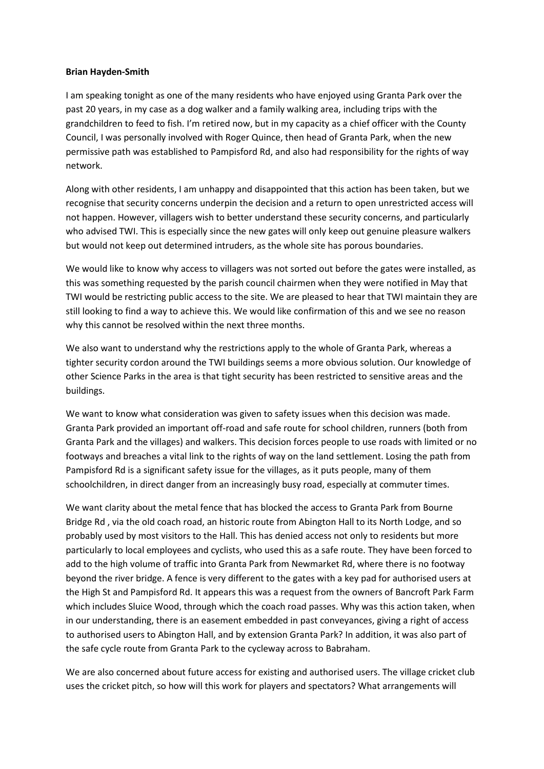## **Brian Hayden-Smith**

I am speaking tonight as one of the many residents who have enjoyed using Granta Park over the past 20 years, in my case as a dog walker and a family walking area, including trips with the grandchildren to feed to fish. I'm retired now, but in my capacity as a chief officer with the County Council, I was personally involved with Roger Quince, then head of Granta Park, when the new permissive path was established to Pampisford Rd, and also had responsibility for the rights of way network.

Along with other residents, I am unhappy and disappointed that this action has been taken, but we recognise that security concerns underpin the decision and a return to open unrestricted access will not happen. However, villagers wish to better understand these security concerns, and particularly who advised TWI. This is especially since the new gates will only keep out genuine pleasure walkers but would not keep out determined intruders, as the whole site has porous boundaries.

We would like to know why access to villagers was not sorted out before the gates were installed, as this was something requested by the parish council chairmen when they were notified in May that TWI would be restricting public access to the site. We are pleased to hear that TWI maintain they are still looking to find a way to achieve this. We would like confirmation of this and we see no reason why this cannot be resolved within the next three months.

We also want to understand why the restrictions apply to the whole of Granta Park, whereas a tighter security cordon around the TWI buildings seems a more obvious solution. Our knowledge of other Science Parks in the area is that tight security has been restricted to sensitive areas and the buildings.

We want to know what consideration was given to safety issues when this decision was made. Granta Park provided an important off-road and safe route for school children, runners (both from Granta Park and the villages) and walkers. This decision forces people to use roads with limited or no footways and breaches a vital link to the rights of way on the land settlement. Losing the path from Pampisford Rd is a significant safety issue for the villages, as it puts people, many of them schoolchildren, in direct danger from an increasingly busy road, especially at commuter times.

We want clarity about the metal fence that has blocked the access to Granta Park from Bourne Bridge Rd , via the old coach road, an historic route from Abington Hall to its North Lodge, and so probably used by most visitors to the Hall. This has denied access not only to residents but more particularly to local employees and cyclists, who used this as a safe route. They have been forced to add to the high volume of traffic into Granta Park from Newmarket Rd, where there is no footway beyond the river bridge. A fence is very different to the gates with a key pad for authorised users at the High St and Pampisford Rd. It appears this was a request from the owners of Bancroft Park Farm which includes Sluice Wood, through which the coach road passes. Why was this action taken, when in our understanding, there is an easement embedded in past conveyances, giving a right of access to authorised users to Abington Hall, and by extension Granta Park? In addition, it was also part of the safe cycle route from Granta Park to the cycleway across to Babraham.

We are also concerned about future access for existing and authorised users. The village cricket club uses the cricket pitch, so how will this work for players and spectators? What arrangements will